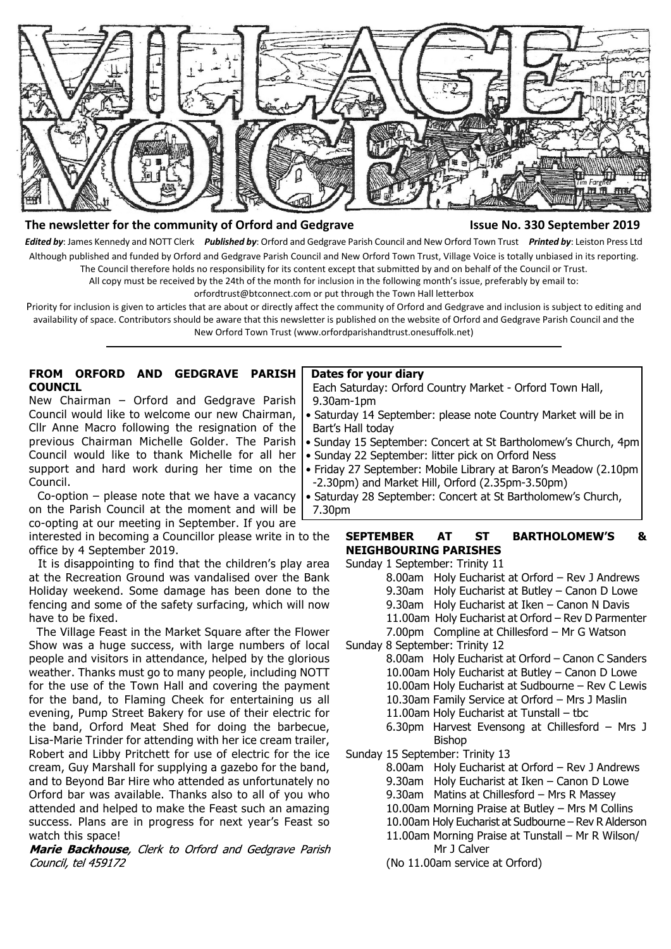

#### **The newsletter for the community of Orford and Gedgrave Issue No. 330 September 2019**

*Edited by*: James Kennedy and NOTT Clerk *Published by*: Orford and Gedgrave Parish Council and New Orford Town Trust *Printed by*: Leiston Press Ltd Although published and funded by Orford and Gedgrave Parish Council and New Orford Town Trust, Village Voice is totally unbiased in its reporting. The Council therefore holds no responsibility for its content except that submitted by and on behalf of the Council or Trust.

All copy must be received by the 24th of the month for inclusion in the following month's issue, preferably by email to:

orfordtrust@btconnect.com or put through the Town Hall letterbox

Priority for inclusion is given to articles that are about or directly affect the community of Orford and Gedgrave and inclusion is subject to editing and availability of space. Contributors should be aware that this newsletter is published on the website of Orford and Gedgrave Parish Council and the New Orford Town Trust (www.orfordparishandtrust.onesuffolk.net)

#### **FROM ORFORD AND GEDGRAVE PARISH COUNCIL**

New Chairman – Orford and Gedgrave Parish Council would like to welcome our new Chairman, Cllr Anne Macro following the resignation of the previous Chairman Michelle Golder. The Parish Council would like to thank Michelle for all her support and hard work during her time on the Council.

 Co-option – please note that we have a vacancy on the Parish Council at the moment and will be co-opting at our meeting in September. If you are

interested in becoming a Councillor please write in to the office by 4 September 2019.

 It is disappointing to find that the children's play area at the Recreation Ground was vandalised over the Bank Holiday weekend. Some damage has been done to the fencing and some of the safety surfacing, which will now have to be fixed.

 The Village Feast in the Market Square after the Flower Show was a huge success, with large numbers of local people and visitors in attendance, helped by the glorious weather. Thanks must go to many people, including NOTT for the use of the Town Hall and covering the payment for the band, to Flaming Cheek for entertaining us all evening, Pump Street Bakery for use of their electric for the band, Orford Meat Shed for doing the barbecue, Lisa-Marie Trinder for attending with her ice cream trailer, Robert and Libby Pritchett for use of electric for the ice cream, Guy Marshall for supplying a gazebo for the band, and to Beyond Bar Hire who attended as unfortunately no Orford bar was available. Thanks also to all of you who attended and helped to make the Feast such an amazing success. Plans are in progress for next year's Feast so watch this space!

Marie Backhouse, Clerk to Orford and Gedgrave Parish Council, tel 459172

#### **Dates for your diary**

 Each Saturday: Orford Country Market - Orford Town Hall, 9.30am-1pm

- Saturday 14 September: please note Country Market will be in Bart's Hall today
- Sunday 15 September: Concert at St Bartholomew's Church, 4pm
- Sunday 22 September: litter pick on Orford Ness
- Friday 27 September: Mobile Library at Baron's Meadow (2.10pm -2.30pm) and Market Hill, Orford (2.35pm-3.50pm)
- Saturday 28 September: Concert at St Bartholomew's Church, 7.30pm

### **SEPTEMBER AT ST BARTHOLOMEW'S & NEIGHBOURING PARISHES**

Sunday 1 September: Trinity 11

- 8.00am Holy Eucharist at Orford Rev J Andrews
	- 9.30am Holy Eucharist at Butley Canon D Lowe
- 9.30am Holy Eucharist at Iken Canon N Davis
- 11.00am Holy Eucharist at Orford Rev D Parmenter
- 7.00pm Compline at Chillesford Mr G Watson
- Sunday 8 September: Trinity 12
	- 8.00am Holy Eucharist at Orford Canon C Sanders 10.00am Holy Eucharist at Butley – Canon D Lowe
		- 10.00am Holy Eucharist at Sudbourne Rev C Lewis
		- 10.30am Family Service at Orford Mrs J Maslin
		- 11.00am Holy Eucharist at Tunstall tbc
		- 6.30pm Harvest Evensong at Chillesford Mrs J Bishop
- Sunday 15 September: Trinity 13
	- 8.00am Holy Eucharist at Orford Rev J Andrews
	- 9.30am Holy Eucharist at Iken Canon D Lowe
	- 9.30am Matins at Chillesford Mrs R Massey
	- 10.00am Morning Praise at Butley Mrs M Collins
	- 10.00am Holy Eucharist at Sudbourne Rev R Alderson
	- 11.00am Morning Praise at Tunstall Mr R Wilson/ Mr J Calver
	- (No 11.00am service at Orford)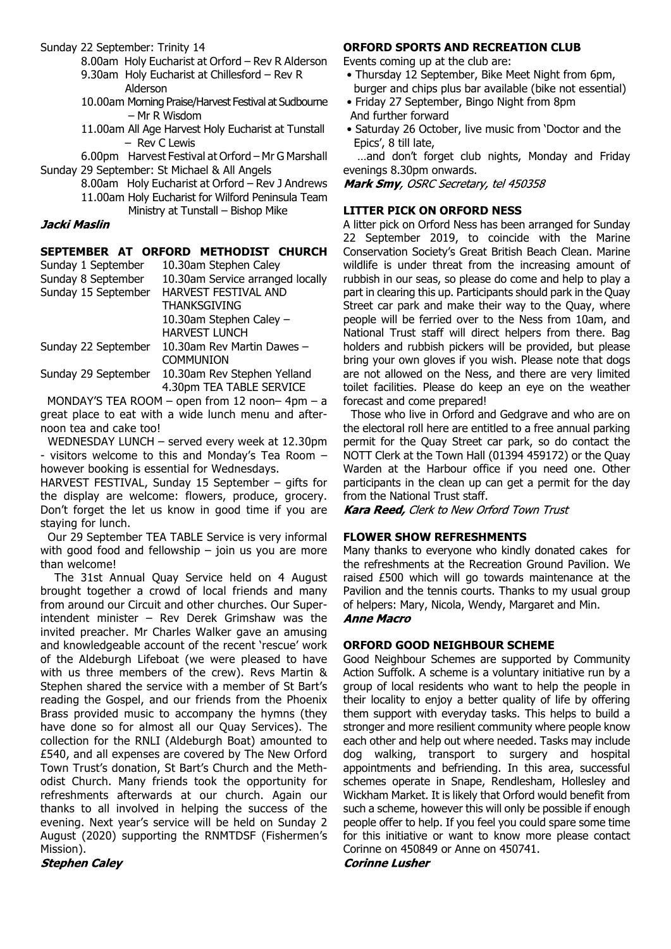Sunday 22 September: Trinity 14

- 8.00am Holy Eucharist at Orford Rev R Alderson
- 9.30am Holy Eucharist at Chillesford Rev R Alderson
- 10.00am Morning Praise/Harvest Festival at Sudbourne – Mr R Wisdom
- 11.00am All Age Harvest Holy Eucharist at Tunstall – Rev C Lewis

6.00pm Harvest Festival at Orford – Mr G Marshall Sunday 29 September: St Michael & All Angels

> 8.00am Holy Eucharist at Orford – Rev J Andrews 11.00am Holy Eucharist for Wilford Peninsula Team Ministry at Tunstall – Bishop Mike

## Jacki Maslin

## **SEPTEMBER AT ORFORD METHODIST CHURCH**

| Sunday 1 September  | 10.30am Stephen Caley            |
|---------------------|----------------------------------|
| Sunday 8 September  | 10.30am Service arranged locally |
| Sunday 15 September | <b>HARVEST FESTIVAL AND</b>      |
|                     | <b>THANKSGIVING</b>              |
|                     | 10.30am Stephen Caley -          |
|                     | <b>HARVEST LUNCH</b>             |
| Sunday 22 September | 10.30am Rev Martin Dawes -       |
|                     | <b>COMMUNION</b>                 |
| Sunday 29 September | 10.30am Rev Stephen Yelland      |
|                     | 4.30pm TEA TABLE SERVICE         |

 MONDAY'S TEA ROOM – open from 12 noon– 4pm – a great place to eat with a wide lunch menu and afternoon tea and cake too!

 WEDNESDAY LUNCH – served every week at 12.30pm - visitors welcome to this and Monday's Tea Room – however booking is essential for Wednesdays.

HARVEST FESTIVAL, Sunday 15 September – gifts for the display are welcome: flowers, produce, grocery. Don't forget the let us know in good time if you are staying for lunch.

 Our 29 September TEA TABLE Service is very informal with good food and fellowship  $-$  join us you are more than welcome!

 The 31st Annual Quay Service held on 4 August brought together a crowd of local friends and many from around our Circuit and other churches. Our Superintendent minister – Rev Derek Grimshaw was the invited preacher. Mr Charles Walker gave an amusing and knowledgeable account of the recent 'rescue' work of the Aldeburgh Lifeboat (we were pleased to have with us three members of the crew). Revs Martin & Stephen shared the service with a member of St Bart's reading the Gospel, and our friends from the Phoenix Brass provided music to accompany the hymns (they have done so for almost all our Quay Services). The collection for the RNLI (Aldeburgh Boat) amounted to £540, and all expenses are covered by The New Orford Town Trust's donation, St Bart's Church and the Methodist Church. Many friends took the opportunity for refreshments afterwards at our church. Again our thanks to all involved in helping the success of the evening. Next year's service will be held on Sunday 2 August (2020) supporting the RNMTDSF (Fishermen's Mission).

# **Stephen Caley**

## **ORFORD SPORTS AND RECREATION CLUB**

Events coming up at the club are:

- Thursday 12 September, Bike Meet Night from 6pm, burger and chips plus bar available (bike not essential)
- Friday 27 September, Bingo Night from 8pm And further forward
- Saturday 26 October, live music from 'Doctor and the Epics', 8 till late,

 …and don't forget club nights, Monday and Friday evenings 8.30pm onwards.

Mark Smy, OSRC Secretary, tel 450358

## **LITTER PICK ON ORFORD NESS**

A litter pick on Orford Ness has been arranged for Sunday 22 September 2019, to coincide with the Marine Conservation Society's Great British Beach Clean. Marine wildlife is under threat from the increasing amount of rubbish in our seas, so please do come and help to play a part in clearing this up. Participants should park in the Quay Street car park and make their way to the Quay, where people will be ferried over to the Ness from 10am, and National Trust staff will direct helpers from there. Bag holders and rubbish pickers will be provided, but please bring your own gloves if you wish. Please note that dogs are not allowed on the Ness, and there are very limited toilet facilities. Please do keep an eye on the weather forecast and come prepared!

 Those who live in Orford and Gedgrave and who are on the electoral roll here are entitled to a free annual parking permit for the Quay Street car park, so do contact the NOTT Clerk at the Town Hall (01394 459172) or the Quay Warden at the Harbour office if you need one. Other participants in the clean up can get a permit for the day from the National Trust staff.

Kara Reed, Clerk to New Orford Town Trust

# **FLOWER SHOW REFRESHMENTS**

Many thanks to everyone who kindly donated cakes for the refreshments at the Recreation Ground Pavilion. We raised £500 which will go towards maintenance at the Pavilion and the tennis courts. Thanks to my usual group of helpers: Mary, Nicola, Wendy, Margaret and Min. **Anne Macro** 

## **ORFORD GOOD NEIGHBOUR SCHEME**

Good Neighbour Schemes are supported by Community Action Suffolk. A scheme is a voluntary initiative run by a group of local residents who want to help the people in their locality to enjoy a better quality of life by offering them support with everyday tasks. This helps to build a stronger and more resilient community where people know each other and help out where needed. Tasks may include dog walking, transport to surgery and hospital appointments and befriending. In this area, successful schemes operate in Snape, Rendlesham, Hollesley and Wickham Market. It is likely that Orford would benefit from such a scheme, however this will only be possible if enough people offer to help. If you feel you could spare some time for this initiative or want to know more please contact Corinne on 450849 or Anne on 450741.

**Corinne Lusher**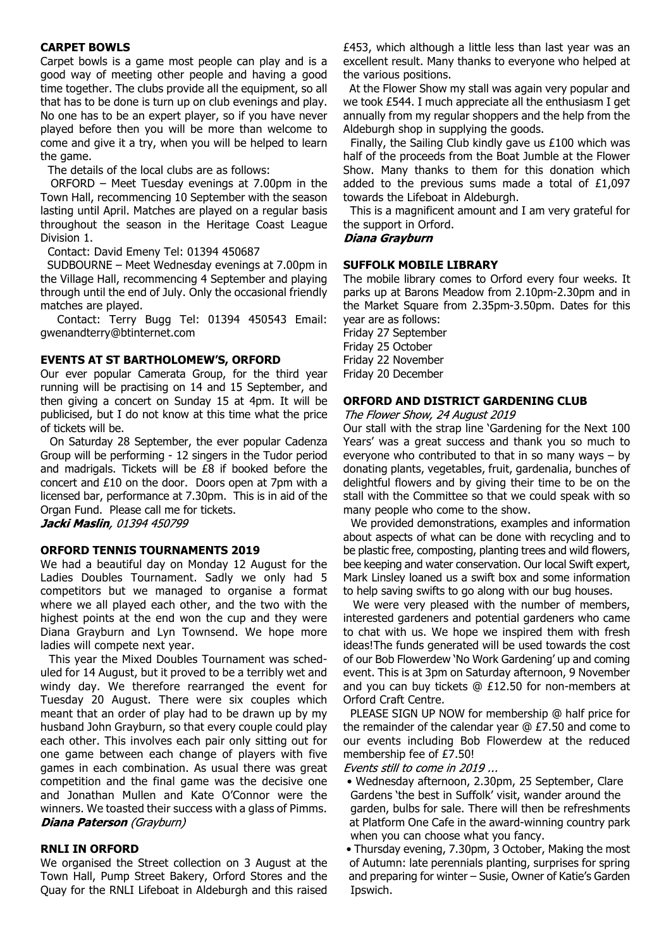## **CARPET BOWLS**

Carpet bowls is a game most people can play and is a good way of meeting other people and having a good time together. The clubs provide all the equipment, so all that has to be done is turn up on club evenings and play. No one has to be an expert player, so if you have never played before then you will be more than welcome to come and give it a try, when you will be helped to learn the game.

The details of the local clubs are as follows:

 ORFORD – Meet Tuesday evenings at 7.00pm in the Town Hall, recommencing 10 September with the season lasting until April. Matches are played on a regular basis throughout the season in the Heritage Coast League Division 1.

Contact: David Emeny Tel: 01394 450687

 SUDBOURNE – Meet Wednesday evenings at 7.00pm in the Village Hall, recommencing 4 September and playing through until the end of July. Only the occasional friendly matches are played.

 Contact: Terry Bugg Tel: 01394 450543 Email: gwenandterry@btinternet.com

#### **EVENTS AT ST BARTHOLOMEW'S, ORFORD**

Our ever popular Camerata Group, for the third year running will be practising on 14 and 15 September, and then giving a concert on Sunday 15 at 4pm. It will be publicised, but I do not know at this time what the price of tickets will be.

 On Saturday 28 September, the ever popular Cadenza Group will be performing - 12 singers in the Tudor period and madrigals. Tickets will be £8 if booked before the concert and £10 on the door. Doors open at 7pm with a licensed bar, performance at 7.30pm. This is in aid of the Organ Fund. Please call me for tickets.

Jacki Maslin, 01394 450799

#### **ORFORD TENNIS TOURNAMENTS 2019**

We had a beautiful day on Monday 12 August for the Ladies Doubles Tournament. Sadly we only had 5 competitors but we managed to organise a format where we all played each other, and the two with the highest points at the end won the cup and they were Diana Grayburn and Lyn Townsend. We hope more ladies will compete next year.

 This year the Mixed Doubles Tournament was scheduled for 14 August, but it proved to be a terribly wet and windy day. We therefore rearranged the event for Tuesday 20 August. There were six couples which meant that an order of play had to be drawn up by my husband John Grayburn, so that every couple could play each other. This involves each pair only sitting out for one game between each change of players with five games in each combination. As usual there was great competition and the final game was the decisive one and Jonathan Mullen and Kate O'Connor were the winners. We toasted their success with a glass of Pimms. Diana Paterson (Grayburn)

#### **RNLI IN ORFORD**

We organised the Street collection on 3 August at the Town Hall, Pump Street Bakery, Orford Stores and the Quay for the RNLI Lifeboat in Aldeburgh and this raised £453, which although a little less than last year was an excellent result. Many thanks to everyone who helped at the various positions.

 At the Flower Show my stall was again very popular and we took £544. I much appreciate all the enthusiasm I get annually from my regular shoppers and the help from the Aldeburgh shop in supplying the goods.

 Finally, the Sailing Club kindly gave us £100 which was half of the proceeds from the Boat Jumble at the Flower Show. Many thanks to them for this donation which added to the previous sums made a total of £1,097 towards the Lifeboat in Aldeburgh.

 This is a magnificent amount and I am very grateful for the support in Orford.

#### Diana Grayburn

#### **SUFFOLK MOBILE LIBRARY**

The mobile library comes to Orford every four weeks. It parks up at Barons Meadow from 2.10pm-2.30pm and in the Market Square from 2.35pm-3.50pm. Dates for this year are as follows: Friday 27 September

Friday 25 October Friday 22 November Friday 20 December

#### **ORFORD AND DISTRICT GARDENING CLUB**

The Flower Show, 24 August 2019

Our stall with the strap line 'Gardening for the Next 100 Years' was a great success and thank you so much to everyone who contributed to that in so many ways – by donating plants, vegetables, fruit, gardenalia, bunches of delightful flowers and by giving their time to be on the stall with the Committee so that we could speak with so many people who come to the show.

 We provided demonstrations, examples and information about aspects of what can be done with recycling and to be plastic free, composting, planting trees and wild flowers, bee keeping and water conservation. Our local Swift expert, Mark Linsley loaned us a swift box and some information to help saving swifts to go along with our bug houses.

 We were very pleased with the number of members, interested gardeners and potential gardeners who came to chat with us. We hope we inspired them with fresh ideas!The funds generated will be used towards the cost of our Bob Flowerdew 'No Work Gardening' up and coming event. This is at 3pm on Saturday afternoon, 9 November and you can buy tickets @ £12.50 for non-members at Orford Craft Centre.

 PLEASE SIGN UP NOW for membership @ half price for the remainder of the calendar year @ £7.50 and come to our events including Bob Flowerdew at the reduced membership fee of £7.50!

Events still to come in 2019 ...

- Wednesday afternoon, 2.30pm, 25 September, Clare Gardens 'the best in Suffolk' visit, wander around the garden, bulbs for sale. There will then be refreshments at Platform One Cafe in the award-winning country park when you can choose what you fancy.
- Thursday evening, 7.30pm, 3 October, Making the most of Autumn: late perennials planting, surprises for spring and preparing for winter – Susie, Owner of Katie's Garden Ipswich.